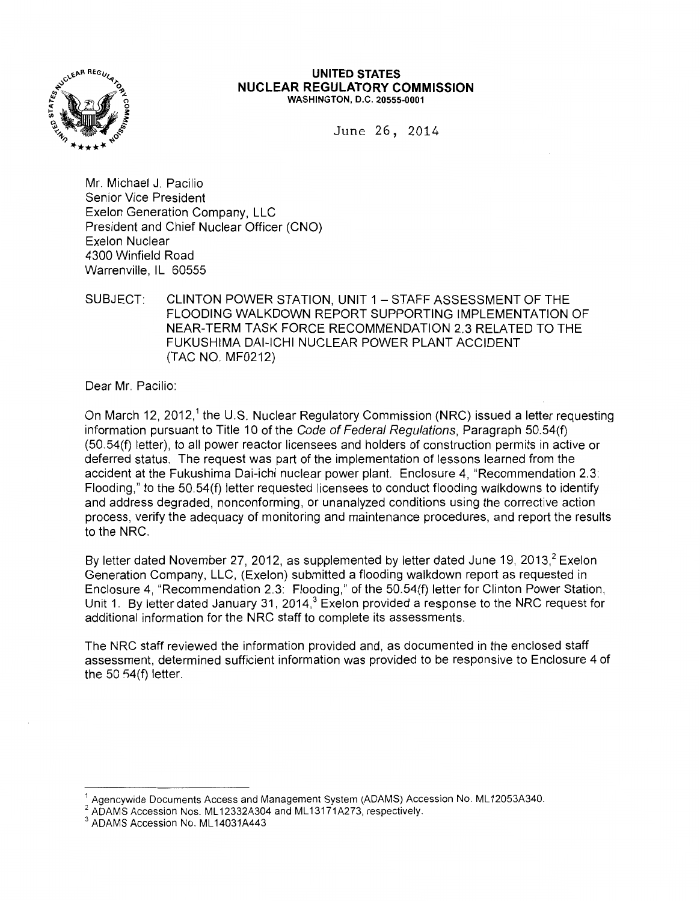

#### **UNITED STATES NUCLEAR REGULATORY COMMISSION**  WASHINGTON, D.C. 20555-0001

June 26, 2014

Mr. Michael J. Pacilio Senior Vice President Exelon Generation Company, LLC President and Chief Nuclear Officer (CNO) Exelon Nuclear 4300 Winfield Road Warrenville, IL 60555

SUBJECT: CLINTON POWER STATION, UNIT 1- STAFF ASSESSMENT OF THE FLOODING WALKDOWN REPORT SUPPORTING IMPLEMENTATION OF NEAR-TERM TASK FORCE RECOMMENDATION 2.3 RELATED TO THE FUKUSHIMA DAI-ICHI NUCLEAR POWER PLANT ACCIDENT (TAC NO. MF0212)

Dear Mr. Pacilio:

On March 12, 2012,<sup>1</sup> the U.S. Nuclear Regulatory Commission (NRC) issued a letter requesting information pursuant to Title 10 of the Code of Federal Regulations, Paragraph 50.54(f) (50.54(f) letter), to all power reactor licensees and holders of construction permits in active or deferred status. The request was part of the implementation of lessons learned from the accident at the Fukushima Dai-ichi nuclear power plant. Enclosure 4, "Recommendation 2.3: Flooding," to the 50.54(f) letter requested licensees to conduct flooding walkdowns to identify and address degraded, nonconforming, or unanalyzed conditions using the corrective action process, verify the adequacy of monitoring and maintenance procedures, and report the results to the NRC.

By letter dated November 27, 2012, as supplemented by letter dated June 19, 2013,<sup>2</sup> Exelon Generation Company, LLC, (Exelon) submitted a flooding walkdown report as requested in Enclosure 4, "Recommendation 2.3: Flooding," of the 50.54(f) letter for Clinton Power Station, Unit 1. By letter dated January 31, 2014,<sup>3</sup> Exelon provided a response to the NRC request for additional information for the NRC staff to complete its assessments.

The NRC staff reviewed the information provided and, as documented in the enclosed staff assessment, determined sufficient information was provided to be responsive to Enclosure 4 of the  $50.54(f)$  letter.

<sup>&</sup>lt;sup>1</sup> Agencywide Documents Access and Management System (ADAMS) Accession No. ML12053A340.

 $^2$  ADAMS Accession Nos. ML12332A304 and ML13171A273, respectively.<br> $^3$  ADAMS Accession No. ML14031A443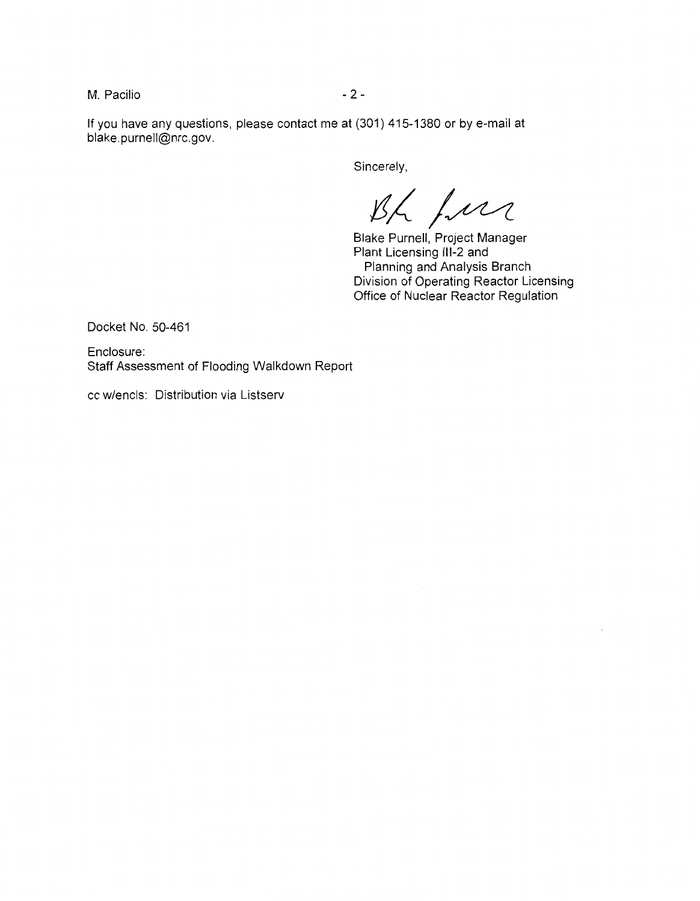M. Pacilio  $-2 -$ 

If you have any questions, please contact me at (301) 415-1380 or by e-mail at blake.purnell@nrc.gov.

Sincerely,

Bh fur

Blake Purnell, Project Manager Plant Licensing 111-2 and Planning and Analysis Branch Division of Operating Reactor Licensing Office of Nuclear Reactor Regulation

Docket No. 50-461

Enclosure: Staff Assessment of Flooding Walkdown Report

cc w/encls: Distribution via Listserv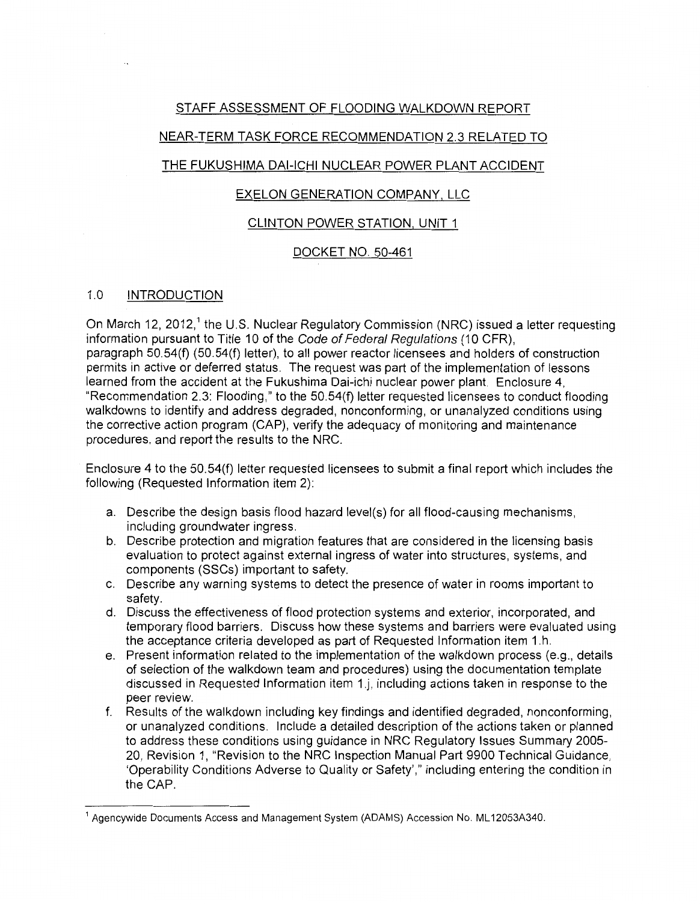# STAFF ASSESSMENT OF FLOODING WALKDOWN REPORT

# NEAR-TERM TASK FORCE RECOMMENDATION 2.3 RELATED TO

# THE FUKUSHIMA DAI-ICHI NUCLEAR POWER PLANT ACCIDENT

# EXELON GENERATION COMPANY, LLC

## CLINTON POWER STATION, UNIT 1

# DOCKET NO. 50-461

## 1.0 INTRODUCTION

On March 12, 2012,<sup>1</sup> the U.S. Nuclear Regulatory Commission (NRC) issued a letter requesting information pursuant to Title 10 of the Code of Federal Regulations (10 CFR), paragraph 50.54(f) (50.54(f) letter), to all power reactor licensees and holders of construction permits in active or deferred status. The request was part of the implementation of lessons learned from the accident at the Fukushima Dai-ichi nuclear power plant. Enclosure 4, "Recommendation 2.3: Flooding," to the 50.54(f) letter requested licensees to conduct flooding walkdowns to identify and address degraded, nonconforming, or unanalyzed conditions using the corrective action program (CAP), verify the adequacy of monitoring and maintenance procedures, and report the results to the NRC.

Enclosure 4 to the 50.54(f) letter requested licensees to submit a final report which includes the following (Requested Information item 2):

- a. Describe the design basis flood hazard level(s) for all flood-causing mechanisms, including groundwater ingress.
- b. Describe protection and migration features that are considered in the licensing basis evaluation to protect against external ingress of water into structures, systems, and components (SSCs) important to safety.
- c. Describe any warning systems to detect the presence of water in rooms important to safety.
- d. Discuss the effectiveness of flood protection systems and exterior, incorporated, and temporary flood barriers. Discuss how these systems and barriers were evaluated using the acceptance criteria developed as part of Requested Information item 1.h.
- e. Present information related to the implementation of the walkdown process (e.g., details of selection of the walkdown team and procedures) using the documentation template discussed in Requested Information item 1.j, including actions taken in response to the peer review.
- f. Results of the walkdown including key findings and identified degraded, nonconforming, or unanalyzed conditions. Include a detailed description of the actions taken or planned to address these conditions using guidance in NRC Regulatory Issues Summary 2005- 20, Revision 1, "Revision to the NRC Inspection Manual Part 9900 Technical Guidance, 'Operability Conditions Adverse to Quality or Safety'," including entering the condition in the CAP.

<sup>1</sup> Agencywide Documents Access and Management System (ADAMS) Accession No. ML 12053A340.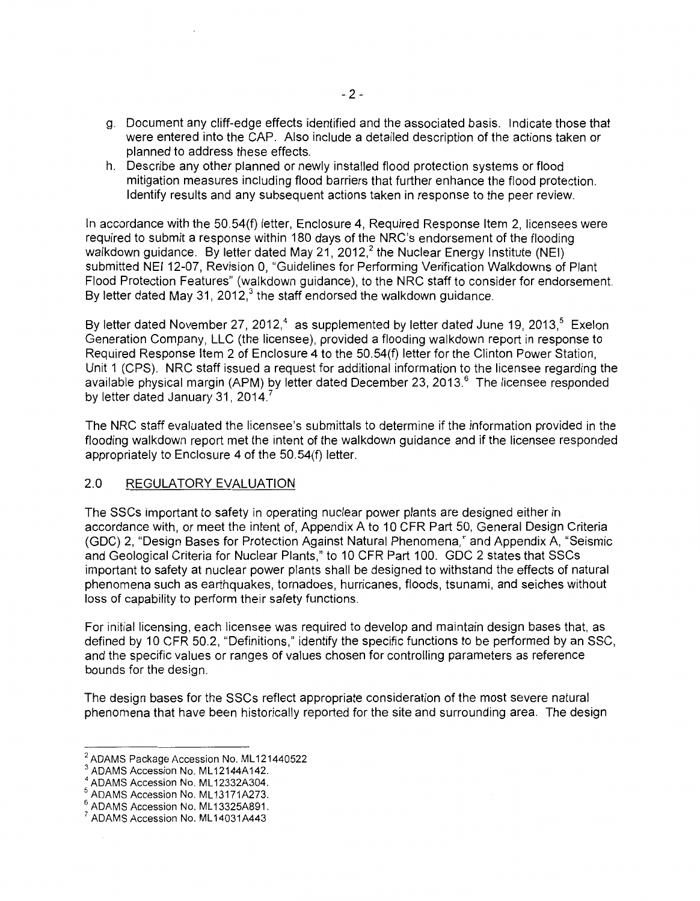- g. Document any cliff-edge effects identified and the associated basis. Indicate those that were entered into the CAP. Also include a detailed description of the actions taken or planned to address these effects.
- h. Describe any other planned or newly installed flood protection systems or flood mitigation measures including flood barriers that further enhance the flood protection. Identify results and any subsequent actions taken in response to the peer review.

In accordance with the 50.54(f) letter, Enclosure 4, Required Response Item 2, licensees were required to submit a response within 180 days of the NRC's endorsement of the flooding walkdown guidance. By letter dated May 21, 2012,<sup>2</sup> the Nuclear Energy Institute (NEI) submitted NEI 12-07, Revision 0, "Guidelines for Performing Verification Walkdowns of Plant Flood Protection Features" (walkdown guidance), to the NRC staff to consider for endorsement. By letter dated May 31, 2012, $3$  the staff endorsed the walkdown guidance.

By letter dated November 27, 2012,<sup>4</sup> as supplemented by letter dated June 19, 2013, $5$  Exelon Generation Company, LLC (the licensee), provided a flooding walkdown report in response to Required Response Item 2 of Enclosure 4 to the 50.54(f) letter for the Clinton Power Station, Unit 1 (CPS). NRC staff issued a request for additional information to the licensee regarding the available physical margin (APM) by letter dated December 23, 2013.<sup>6</sup> The licensee responded by letter dated January 31, 2014.

The NRC staff evaluated the licensee's submittals to determine if the information provided in the flooding walkdown report met the intent of the walkdown guidance and if the licensee responded appropriately to Enclosure 4 of the 50.54(f) letter.

### 2.0 REGULATORY EVALUATION

The SSCs important to safety in operating nuclear power plants are designed either in accordance with, or meet the intent of, Appendix A to 10 CFR Part 50, General Design Criteria (GDC) 2, "Design Bases for Protection Against Natural Phenomena," and Appendix A, "Seismic and Geological Criteria for Nuclear Plants," to 10 CFR Part 100. GDC 2 states that SSCs important to safety at nuclear power plants shall be designed to withstand the effects of natural phenomena such as earthquakes, tornadoes, hurricanes, floods, tsunami, and seiches without loss of capability to perform their safety functions.

For initial licensing, each licensee was required to develop and maintain design bases that, as defined by 10 CFR 50.2, "Definitions," identify the specific functions to be performed by an SSC, and the specific values or ranges of values chosen for controlling parameters as reference bounds for the design.

The design bases for the SSCs reflect appropriate consideration of the most severe natural phenomena that have been historically reported for the site and surrounding area. The design

<sup>&</sup>lt;sup>2</sup> ADAMS Package Accession No. ML121440522<br>
<sup>3</sup> ADAMS Accession No. ML12144A142.<br>
<sup>4</sup> ADAMS Accession No. ML13171A273.<br>
<sup>6</sup> ADAMS Accession No. ML13325A891.<br>
<sup>7</sup> ADAMS Accession No. ML14031A443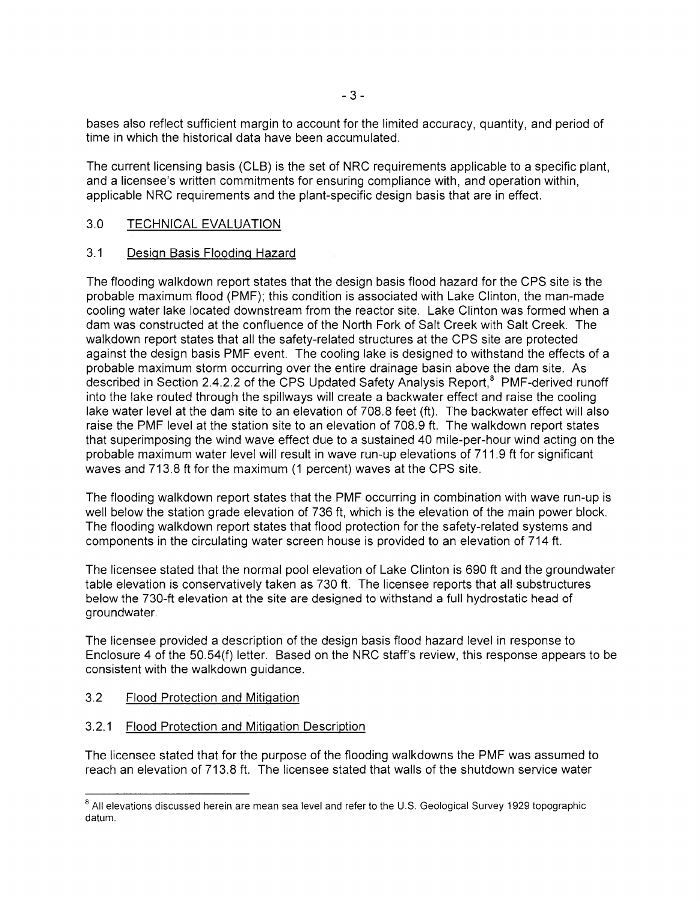bases also reflect sufficient margin to account for the limited accuracy, quantity, and period of time in which the historical data have been accumulated.

The current licensing basis (CLB) is the set of NRC requirements applicable to a specific plant, and a licensee's written commitments for ensuring compliance with, and operation within, applicable NRC requirements and the plant-specific design basis that are in effect.

### 3.0 TECHNICAL EVALUATION

### 3.1 Design Basis Flooding Hazard

The flooding walkdown report states that the design basis flood hazard for the CPS site is the probable maximum flood (PMF); this condition is associated with Lake Clinton, the man-made cooling water lake located downstream from the reactor site. Lake Clinton was formed when a dam was constructed at the confluence of the North Fork of Salt Creek with Salt Creek. The walkdown report states that all the safety-related structures at the CPS site are protected against the design basis PMF event. The cooling lake is designed to withstand the effects of a probable maximum storm occurring over the entire drainage basin above the dam site. As described in Section 2.4.2.2 of the CPS Updated Safety Analysis Report,<sup>8</sup> PMF-derived runoff into the lake routed through the spillways will create a backwater effect and raise the cooling lake water level at the dam site to an elevation of 708.8 feet (ft). The backwater effect will also raise the PMF level at the station site to an elevation of 708.9 ft. The walkdown report states that superimposing the wind wave effect due to a sustained 40 mile-per-hour wind acting on the probable maximum water level will result in wave run-up elevations of 711.9 ft for significant waves and 713.8 ft for the maximum (1 percent) waves at the CPS site.

The flooding walkdown report states that the PMF occurring in combination with wave run-up is well below the station grade elevation of 736 ft, which is the elevation of the main power block. The flooding walkdown report states that flood protection for the safety-related systems and components in the circulating water screen house is provided to an elevation of 714ft.

The licensee stated that the normal pool elevation of Lake Clinton is 690 ft and the groundwater table elevation is conservatively taken as 730 ft. The licensee reports that all substructures below the 730-ft elevation at the site are designed to withstand a full hydrostatic head of groundwater.

The licensee provided a description of the design basis flood hazard level in response to Enclosure 4 of the 50.54(f) letter. Based on the NRC staff's review, this response appears to be consistent with the walkdown guidance.

- 3.2 Flood Protection and Mitigation
- 3.2.1 Flood Protection and Mitigation Description

The licensee stated that for the purpose of the flooding walkdowns the PMF was assumed to reach an elevation of 713.8 ft. The licensee stated that walls of the shutdown service water

<sup>&</sup>lt;sup>8</sup> All elevations discussed herein are mean sea level and refer to the U.S. Geological Survey 1929 topographic datum.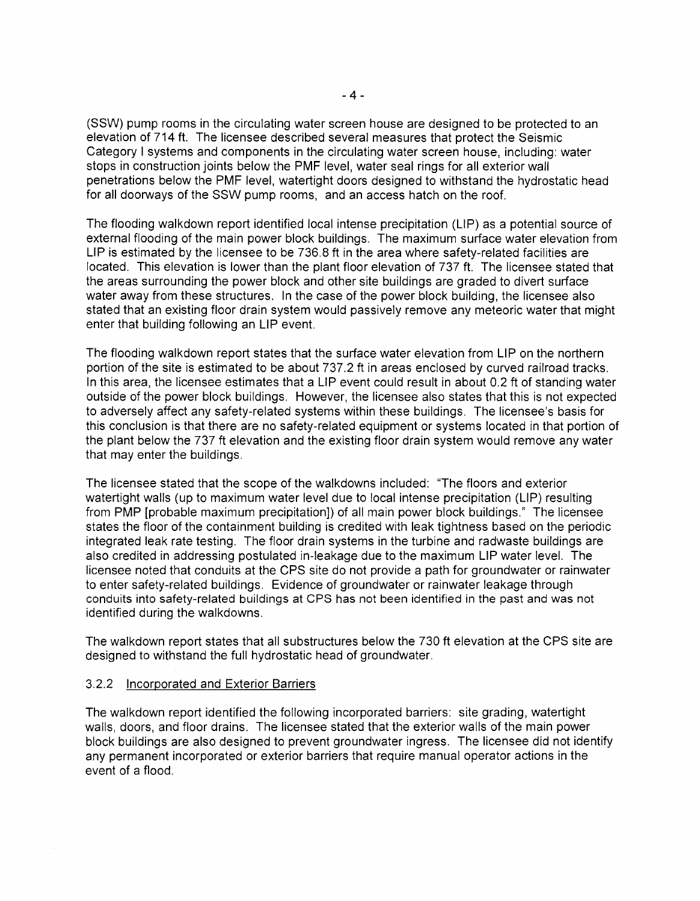(SSW) pump rooms in the circulating water screen house are designed to be protected to an elevation of 714ft. The licensee described several measures that protect the Seismic Category I systems and components in the circulating water screen house, including: water stops in construction joints below the PMF level, water seal rings for all exterior wall penetrations below the PMF level, watertight doors designed to withstand the hydrostatic head for all doorways of the SSW pump rooms, and an access hatch on the roof.

The flooding walkdown report identified local intense precipitation (LIP) as a potential source of external flooding of the main power block buildings. The maximum surface water elevation from LIP is estimated by the licensee to be 736.8 ft in the area where safety-related facilities are located. This elevation is lower than the plant floor elevation of 737 ft. The licensee stated that the areas surrounding the power block and other site buildings are graded to divert surface water away from these structures. In the case of the power block building, the licensee also stated that an existing floor drain system would passively remove any meteoric water that might enter that building following an LIP event.

The flooding walkdown report states that the surface water elevation from LIP on the northern portion of the site is estimated to be about 737.2 ft in areas enclosed by curved railroad tracks. In this area, the licensee estimates that a LIP event could result in about 0.2 ft of standing water outside of the power block buildings. However, the licensee also states that this is not expected to adversely affect any safety-related systems within these buildings. The licensee's basis for this conclusion is that there are no safety-related equipment or systems located in that portion of the plant below the 737 ft elevation and the existing floor drain system would remove any water that may enter the buildings.

The licensee stated that the scope of the walkdowns included: "The floors and exterior watertight walls (up to maximum water level due to local intense precipitation (LIP) resulting from PMP [probable maximum precipitation]) of all main power block buildings." The licensee states the floor of the containment building is credited with leak tightness based on the periodic integrated leak rate testing. The floor drain systems in the turbine and radwaste buildings are also credited in addressing postulated in-leakage due to the maximum LIP water level. The licensee noted that conduits at the CPS site do not provide a path for groundwater or rainwater to enter safety-related buildings. Evidence of groundwater or rainwater leakage through conduits into safety-related buildings at CPS has not been identified in the past and was not identified during the walkdowns.

The walkdown report states that all substructures below the 730 ft elevation at the CPS site are designed to withstand the full hydrostatic head of groundwater.

#### 3.2.2 Incorporated and Exterior Barriers

The walkdown report identified the following incorporated barriers: site grading, watertight walls, doors, and floor drains. The licensee stated that the exterior walls of the main power block buildings are also designed to prevent groundwater ingress. The licensee did not identify any permanent incorporated or exterior barriers that require manual operator actions in the event of a flood.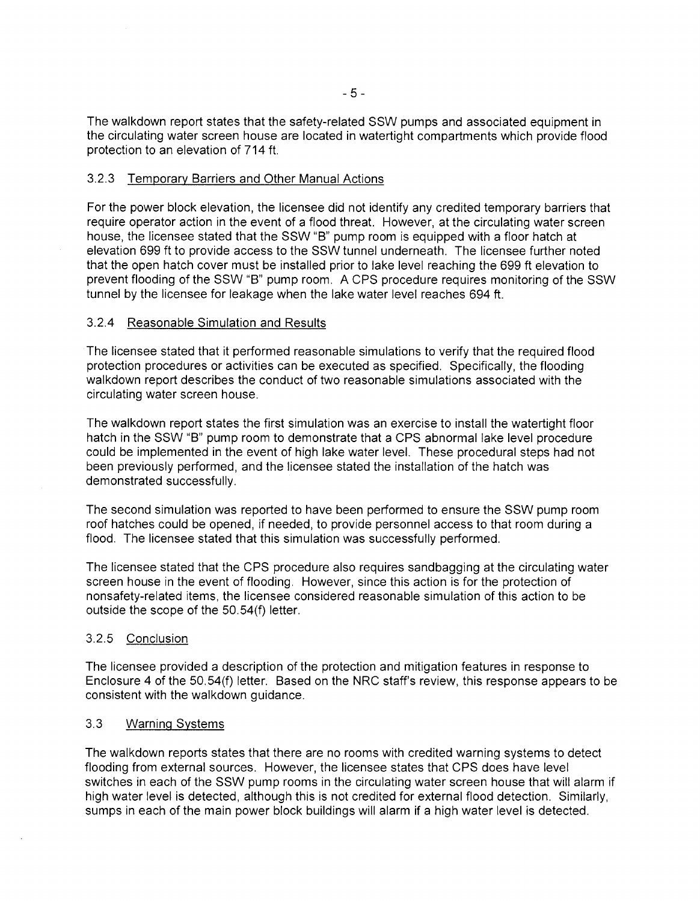The walkdown report states that the safety-related SSW pumps and associated equipment in the circulating water screen house are located in watertight compartments which provide flood protection to an elevation of 714 ft.

#### 3.2.3 Temporary Barriers and Other Manual Actions

For the power block elevation, the licensee did not identify any credited temporary barriers that require operator action in the event of a flood threat. However, at the circulating water screen house, the licensee stated that the SSW "B" pump room is equipped with a floor hatch at elevation 699ft to provide access to the SSW tunnel underneath. The licensee further noted that the open hatch cover must be installed prior to lake level reaching the 699 ft elevation to prevent flooding of the SSW "B" pump room. A CPS procedure requires monitoring of the SSW tunnel by the licensee for leakage when the lake water level reaches 694 ft.

### 3.2.4 Reasonable Simulation and Results

The licensee stated that it performed reasonable simulations to verify that the required flood protection procedures or activities can be executed as specified. Specifically, the flooding walkdown report describes the conduct of two reasonable simulations associated with the circulating water screen house.

The walkdown report states the first simulation was an exercise to install the watertight floor hatch in the SSW "B" pump room to demonstrate that a CPS abnormal lake level procedure could be implemented in the event of high lake water level. These procedural steps had not been previously performed, and the licensee stated the installation of the hatch was demonstrated successfully.

The second simulation was reported to have been performed to ensure the SSW pump room roof hatches could be opened, if needed, to provide personnel access to that room during a flood. The licensee stated that this simulation was successfully performed.

The licensee stated that the CPS procedure also requires sandbagging at the circulating water screen house in the event of flooding. However, since this action is for the protection of nonsafety-related items, the licensee considered reasonable simulation of this action to be outside the scope of the 50.54(f) letter.

### 3.2.5 Conclusion

The licensee provided a description of the protection and mitigation features in response to Enclosure 4 of the 50.54(f) letter. Based on the NRC staff's review, this response appears to be consistent with the walkdown guidance.

### 3.3 Warning Systems

The walkdown reports states that there are no rooms with credited warning systems to detect flooding from external sources. However, the licensee states that CPS does have level switches in each of the SSW pump rooms in the circulating water screen house that will alarm if high water level is detected, although this is not credited for external flood detection. Similarly, sumps in each of the main power block buildings will alarm if a high water level is detected.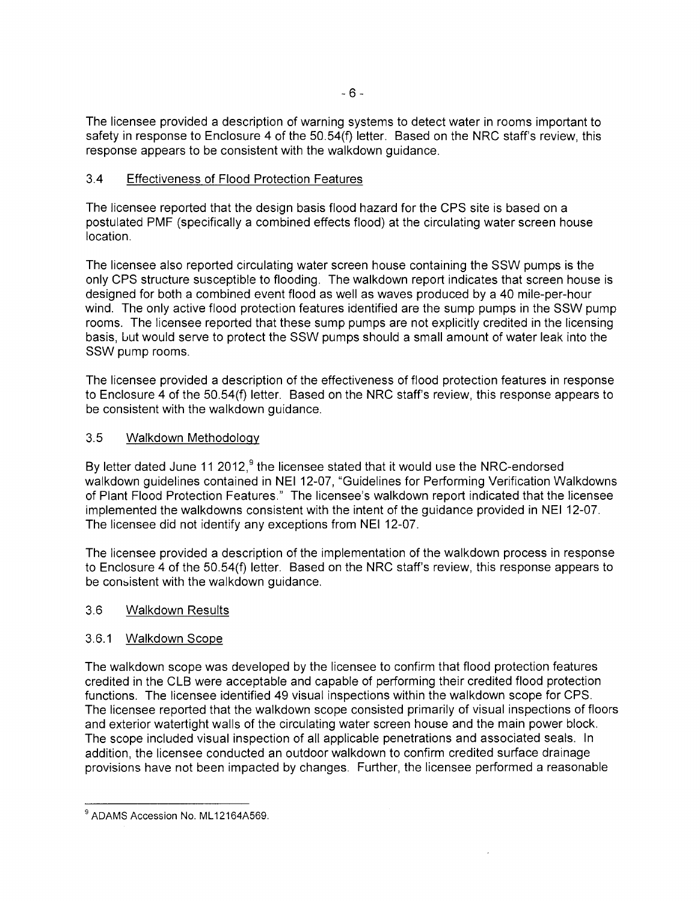The licensee provided a description of warning systems to detect water in rooms important to safety in response to Enclosure 4 of the 50.54(f) letter. Based on the NRC staff's review, this response appears to be consistent with the walkdown guidance.

# 3.4 Effectiveness of Flood Protection Features

The licensee reported that the design basis flood hazard for the CPS site is based on a postulated PMF (specifically a combined effects flood) at the circulating water screen house location.

The licensee also reported circulating water screen house containing the SSW pumps is the only CPS structure susceptible to flooding. The walkdown report indicates that screen house is designed for both a combined event flood as well as waves produced by a 40 mile-per-hour wind. The only active flood protection features identified are the sump pumps in the SSW pump rooms. The licensee reported that these sump pumps are not explicitly credited in the licensing basis, uut would serve to protect the SSW pumps should a small amount of water leak into the SSW pump rooms.

The licensee provided a description of the effectiveness of flood protection features in response to Enclosure 4 of the 50.54(f) letter. Based on the NRC staff's review, this response appears to be consistent with the walkdown guidance.

## 3.5 Walkdown Methodology

By letter dated June 11 2012,<sup>9</sup> the licensee stated that it would use the NRC-endorsed walkdown guidelines contained in NEI 12-07, "Guidelines for Performing Verification Walkdowns of Plant Flood Protection Features." The licensee's walkdown report indicated that the licensee implemented the walkdowns consistent with the intent of the guidance provided in NEI 12-07. The licensee did not identify any exceptions from NEI 12-07.

The licensee provided a description of the implementation of the walkdown process in response to Enclosure 4 of the 50.54(f) letter. Based on the NRC staff's review, this response appears to be consistent with the walkdown guidance.

## 3.6 Walkdown Results

## 3.6.1 Walkdown Scope

The walkdown scope was developed by the licensee to confirm that flood protection features credited in the CLB were acceptable and capable of performing their credited flood protection functions. The licensee identified 49 visual inspections within the walkdown scope for CPS. The licensee reported that the walkdown scope consisted primarily of visual inspections of floors and exterior watertight walls of the circulating water screen house and the main power block. The scope included visual inspection of all applicable penetrations and associated seals. In addition, the licensee conducted an outdoor walkdown to confirm credited surface drainage provisions have not been impacted by changes. Further, the licensee performed a reasonable

<sup>&</sup>lt;sup>9</sup> ADAMS Accession No. ML12164A569.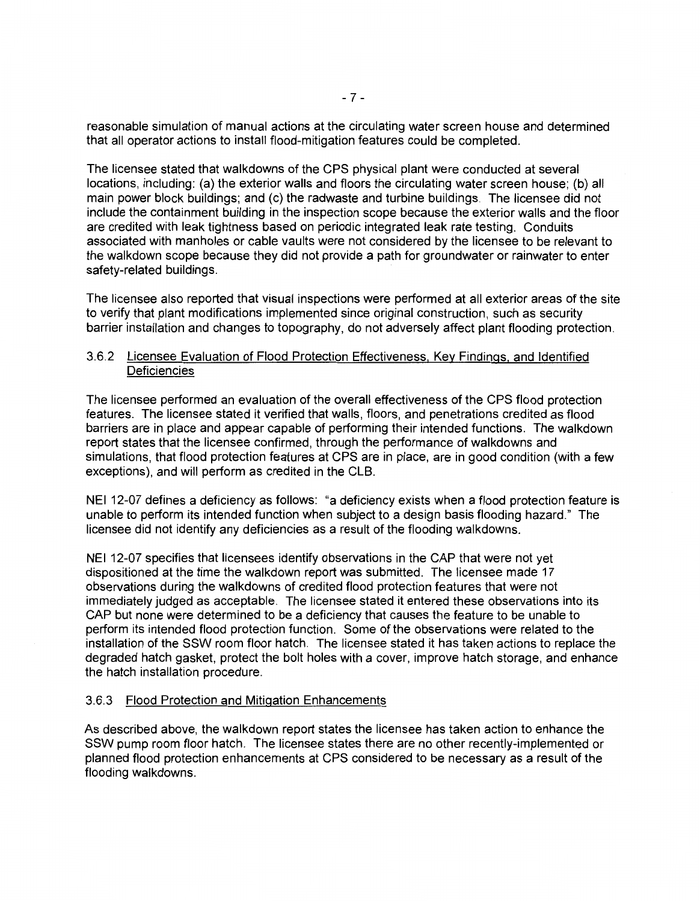reasonable simulation of manual actions at the circulating water screen house and determined that all operator actions to install flood-mitigation features could be completed.

The licensee stated that walkdowns of the CPS physical plant were conducted at several locations, including: (a) the exterior walls and floors the circulating water screen house; (b) all main power block buildings; and (c) the radwaste and turbine buildings. The licensee did not include the containment building in the inspection scope because the exterior walls and the floor are credited with leak tightness based on periodic integrated leak rate testing. Conduits associated with manholes or cable vaults were not considered by the licensee to be relevant to the walkdown scope because they did not provide a path for groundwater or rainwater to enter safety-related buildings.

The licensee also reported that visual inspections were performed at all exterior areas of the site to verify that plant modifications implemented since original construction, such as security barrier installation and changes to topography, do not adversely affect plant flooding protection.

### 3.6.2 Licensee Evaluation of Flood Protection Effectiveness, Key Findings, and Identified **Deficiencies**

The licensee performed an evaluation of the overall effectiveness of the CPS flood protection features. The licensee stated it verified that walls, floors, and penetrations credited as flood barriers are in place and appear capable of performing their intended functions. The walkdown report states that the licensee confirmed, through the performance of walkdowns and simulations, that flood protection features at CPS are in place, are in good condition (with a few exceptions), and will perform as credited in the CLB.

NEI 12-07 defines a deficiency as follows: "a deficiency exists when a flood protection feature is unable to perform its intended function when subject to a design basis flooding hazard." The licensee did not identify any deficiencies as a result of the flooding walkdowns.

NEI 12-07 specifies that licensees identify observations in the CAP that were not yet dispositioned at the time the walkdown report was submitted. The licensee made 17 observations during the walkdowns of credited flood protection features that were not immediately judged as acceptable. The licensee stated it entered these observations into its CAP but none were determined to be a deficiency that causes the feature to be unable to perform its intended flood protection function. Some of the observations were related to the installation of the SSW room floor hatch. The licensee stated it has taken actions to replace the degraded hatch gasket, protect the bolt holes with a cover, improve hatch storage, and enhance the hatch installation procedure.

### 3.6.3 Flood Protection and Mitigation Enhancements

As described above, the walkdown report states the licensee has taken action to enhance the SSW pump room floor hatch. The licensee states there are no other recently-implemented or planned flood protection enhancements at CPS considered to be necessary as a result of the flooding walkdowns.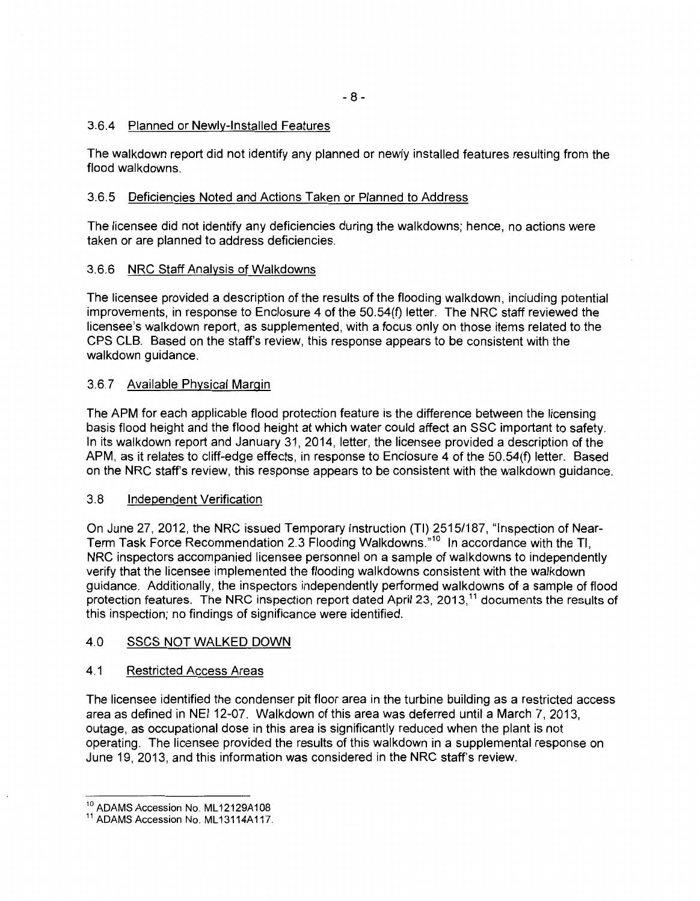### 3.6.4 Planned or Newly-Installed Features

The walkdown report did not identify any planned or newly installed features resulting from the flood walkdowns.

### 3.6.5 Deficiencies Noted and Actions Taken or Planned to Address

The licensee did not identify any deficiencies during the walkdowns; hence, no actions were taken or are planned to address deficiencies.

### 3.6.6 NRC Staff Analysis of Walkdowns

The licensee provided a description of the results of the flooding walkdown, including potential improvements, in response to Enclosure 4 of the 50.54(f) letter. The NRC staff reviewed the licensee's walkdown report, as supplemented, with a focus only on those items related to the CPS CLB. Based on the staff's review, this response appears to be consistent with the walkdown guidance.

### 3.6.7 Available Physical Margin

The APM for each applicable flood protection feature is the difference between the licensing basis flood height and the flood height at which water could affect an SSC important to safety. In its walkdown report and January 31, 2014, letter, the licensee provided a description of the APM, as it relates to cliff-edge effects, in response to Enclosure 4 of the 50.54(f) letter. Based on the NRC staff's review, this response appears to be consistent with the walkdown guidance.

### 3.8 Independent Verification

On June 27, 2012, the NRC issued Temporary Instruction (TI) 2515/187, "Inspection of Near-Term Task Force Recommendation 2.3 Flooding Walkdowns."<sup>10</sup> In accordance with the Tl, NRC inspectors accompanied licensee personnel on a sample of walkdowns to independently verify that the licensee implemented the flooding walkdowns consistent with the walkdown guidance. Additionally, the inspectors independently performed walkdowns of a sample of flood protection features. The NRC inspection report dated April 23, 2013,<sup>11</sup> documents the results of this inspection; no findings of significance were identified.

### 4.0 SSCS NOT WALKED DOWN

### 4.1 Restricted Access Areas

The licensee identified the condenser pit floor area in the turbine building as a restricted access area as defined in NEI 12-07. Walkdown of this area was deferred until a March 7, 2013, outage, as occupational dose in this area is significantly reduced when the plant is not operating. The licensee provided the results of this walkdown in a supplemental response on June 19, 2013, and this information was considered in the NRC staff's review.

<sup>&</sup>lt;sup>10</sup> ADAMS Accession No. ML12129A108<br><sup>11</sup> ADAMS Accession No. ML13114A117.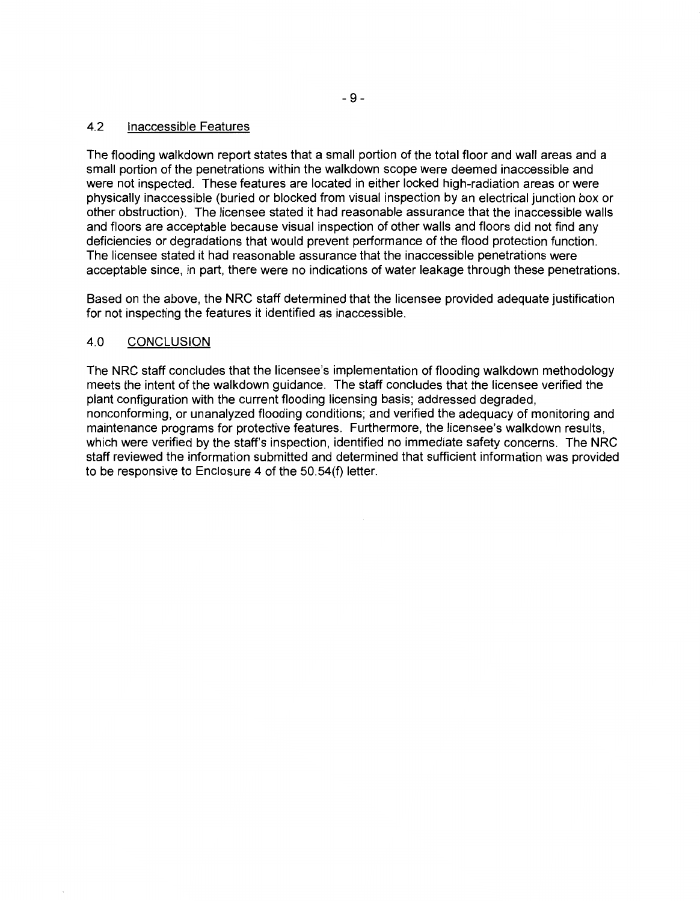## 4.2 Inaccessible Features

The flooding walkdown report states that a small portion of the total floor and wall areas and a small portion of the penetrations within the walkdown scope were deemed inaccessible and were not inspected. These features are located in either locked high-radiation areas or were physically inaccessible (buried or blocked from visual inspection by an electrical junction box or other obstruction). The licensee stated it had reasonable assurance that the inaccessible walls and floors are acceptable because visual inspection of other walls and floors did not find any deficiencies or degradations that would prevent performance of the flood protection function. The licensee stated it had reasonable assurance that the inaccessible penetrations were acceptable since, in part, there were no indications of water leakage through these penetrations.

Based on the above, the NRC staff determined that the licensee provided adequate justification for not inspecting the features it identified as inaccessible.

### 4.0 CONCLUSION

The NRC staff concludes that the licensee's implementation of flooding walkdown methodology meets the intent of the walkdown guidance. The staff concludes that the licensee verified the plant configuration with the current flooding licensing basis; addressed degraded, nonconforming, or unanalyzed flooding conditions; and verified the adequacy of monitoring and maintenance programs for protective features. Furthermore, the licensee's walkdown results, which were verified by the staff's inspection, identified no immediate safety concerns. The NRC staff reviewed the information submitted and determined that sufficient information was provided to be responsive to Enclosure 4 of the 50.54(f) letter.